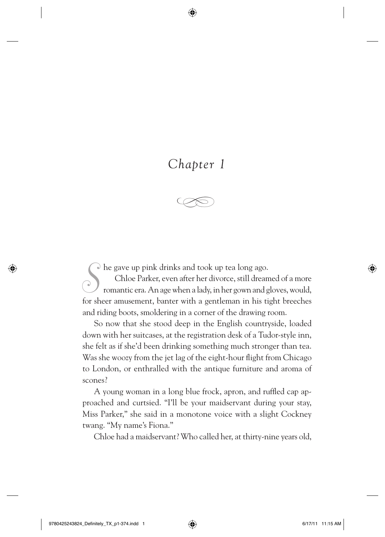# *Chapter 1*

⊕



*S* he gave up pink drinks and took up tea long ago.

Chloe Parker, even after her divorce, still dreamed of a more romantic era. An age when a lady, in her gown and gloves, would, for sheer amusement, banter with a gentleman in his tight breeches and riding boots, smoldering in a corner of the drawing room.

So now that she stood deep in the English countryside, loaded down with her suitcases, at the registration desk of a Tudor-style inn, she felt as if she'd been drinking something much stronger than tea. Was she woozy from the jet lag of the eight-hour flight from Chicago to London, or enthralled with the antique furniture and aroma of scones?

A young woman in a long blue frock, apron, and ruffled cap approached and curtsied. "I'll be your maidservant during your stay, Miss Parker," she said in a monotone voice with a slight Cockney twang. "My name's Fiona."

Chloe had a maidservant? Who called her, at thirty-nine years old,

⊕

⊕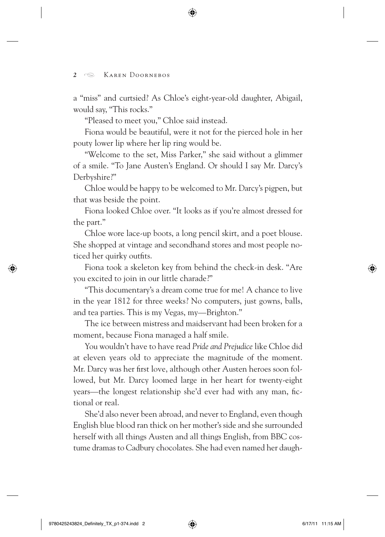# 2 **S** KAREN DOORNEBOS

a "miss" and curtsied? As Chloe's eight-year-old daughter, Abigail, would say, "This rocks."

⊕

"Pleased to meet you," Chloe said instead.

Fiona would be beautiful, were it not for the pierced hole in her pouty lower lip where her lip ring would be.

"Welcome to the set, Miss Parker," she said without a glimmer of a smile. "To Jane Austen's England. Or should I say Mr. Darcy's Derbyshire?"

Chloe would be happy to be welcomed to Mr. Darcy's pigpen, but that was beside the point.

Fiona looked Chloe over. "It looks as if you're almost dressed for the part."

Chloe wore lace-up boots, a long pencil skirt, and a poet blouse. She shopped at vintage and secondhand stores and most people noticed her quirky outfits.

Fiona took a skeleton key from behind the check-in desk. "Are you excited to join in our little charade?"

"This documentary's a dream come true for me! A chance to live in the year 1812 for three weeks? No computers, just gowns, balls, and tea parties. This is my Vegas, my—Brighton."

The ice between mistress and maidservant had been broken for a moment, because Fiona managed a half smile.

You wouldn't have to have read *Pride and Prejudice* like Chloe did at eleven years old to appreciate the magnitude of the moment. Mr. Darcy was her first love, although other Austen heroes soon followed, but Mr. Darcy loomed large in her heart for twenty-eight years—the longest relationship she'd ever had with any man, fictional or real.

She'd also never been abroad, and never to England, even though English blue blood ran thick on her mother's side and she surrounded herself with all things Austen and all things English, from BBC costume dramas to Cadbury chocolates. She had even named her daugh-

⇔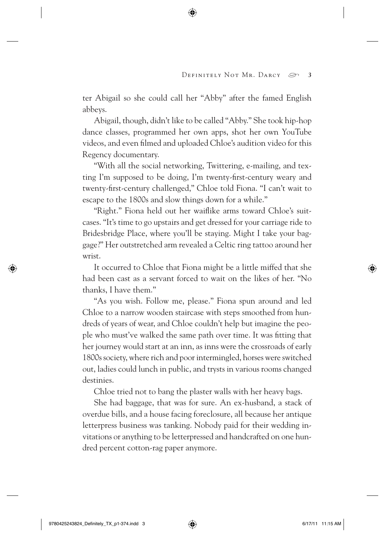ter Abigail so she could call her "Abby" after the famed English abbeys.

⊕

Abigail, though, didn't like to be called "Abby." She took hip-hop dance classes, programmed her own apps, shot her own YouTube videos, and even filmed and uploaded Chloe's audition video for this Regency documentary.

"With all the social networking, Twittering, e-mailing, and texting I'm supposed to be doing, I'm twenty-first-century weary and twenty-first-century challenged," Chloe told Fiona. "I can't wait to escape to the 1800s and slow things down for a while."

"Right." Fiona held out her waiflike arms toward Chloe's suitcases. "It's time to go upstairs and get dressed for your carriage ride to Bridesbridge Place, where you'll be staying. Might I take your baggage?" Her outstretched arm revealed a Celtic ring tattoo around her wrist.

It occurred to Chloe that Fiona might be a little miffed that she had been cast as a servant forced to wait on the likes of her. "No thanks, I have them."

"As you wish. Follow me, please." Fiona spun around and led Chloe to a narrow wooden staircase with steps smoothed from hundreds of years of wear, and Chloe couldn't help but imagine the people who must've walked the same path over time. It was fitting that her journey would start at an inn, as inns were the crossroads of early 1800s society, where rich and poor intermingled, horses were switched out, ladies could lunch in public, and trysts in various rooms changed destinies.

Chloe tried not to bang the plaster walls with her heavy bags.

She had baggage, that was for sure. An ex-husband, a stack of overdue bills, and a house facing foreclosure, all because her antique letterpress business was tanking. Nobody paid for their wedding invitations or anything to be letterpressed and handcrafted on one hundred percent cotton-rag paper anymore.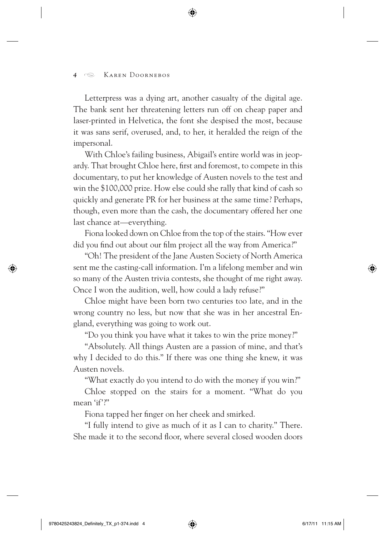### *<sup>4</sup>* Karen Doornebos

Letterpress was a dying art, another casualty of the digital age. The bank sent her threatening letters run off on cheap paper and laser-printed in Helvetica, the font she despised the most, because it was sans serif, overused, and, to her, it heralded the reign of the impersonal.

⊕

With Chloe's failing business, Abigail's entire world was in jeopardy. That brought Chloe here, first and foremost, to compete in this documentary, to put her knowledge of Austen novels to the test and win the \$100,000 prize. How else could she rally that kind of cash so quickly and generate PR for her business at the same time? Perhaps, though, even more than the cash, the documentary offered her one last chance at—everything.

Fiona looked down on Chloe from the top of the stairs. "How ever did you find out about our film project all the way from America?"

"Oh! The president of the Jane Austen Society of North America sent me the casting-call information. I'm a lifelong member and win so many of the Austen trivia contests, she thought of me right away. Once I won the audition, well, how could a lady refuse?"

Chloe might have been born two centuries too late, and in the wrong country no less, but now that she was in her ancestral England, everything was going to work out.

"Do you think you have what it takes to win the prize money?"

"Absolutely. All things Austen are a passion of mine, and that's why I decided to do this." If there was one thing she knew, it was Austen novels.

"What exactly do you intend to do with the money if you win?"

Chloe stopped on the stairs for a moment. "What do you mean 'if'?"

Fiona tapped her finger on her cheek and smirked.

"I fully intend to give as much of it as I can to charity." There. She made it to the second floor, where several closed wooden doors

 $\leftrightarrow$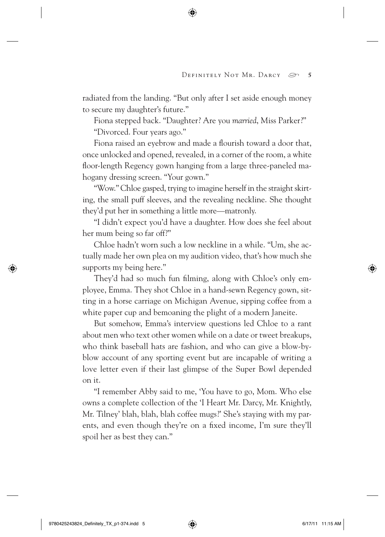radiated from the landing. "But only after I set aside enough money to secure my daughter's future."

⊕

Fiona stepped back. "Daughter? Are you *married*, Miss Parker?"

"Divorced. Four years ago."

Fiona raised an eyebrow and made a flourish toward a door that, once unlocked and opened, revealed, in a corner of the room, a white floor-length Regency gown hanging from a large three-paneled mahogany dressing screen. "Your gown."

"Wow." Chloe gasped, trying to imagine herself in the straight skirting, the small puff sleeves, and the revealing neckline. She thought they'd put her in something a little more—matronly.

"I didn't expect you'd have a daughter. How does she feel about her mum being so far off?"

Chloe hadn't worn such a low neckline in a while. "Um, she actually made her own plea on my audition video, that's how much she supports my being here."

They'd had so much fun filming, along with Chloe's only employee, Emma. They shot Chloe in a hand-sewn Regency gown, sitting in a horse carriage on Michigan Avenue, sipping coffee from a white paper cup and bemoaning the plight of a modern Janeite.

But somehow, Emma's interview questions led Chloe to a rant about men who text other women while on a date or tweet breakups, who think baseball hats are fashion, and who can give a blow-byblow account of any sporting event but are incapable of writing a love letter even if their last glimpse of the Super Bowl depended on it.

"I remember Abby said to me, 'You have to go, Mom. Who else owns a complete collection of the 'I Heart Mr. Darcy, Mr. Knightly, Mr. Tilney' blah, blah, blah coffee mugs?' She's staying with my parents, and even though they're on a fixed income, I'm sure they'll spoil her as best they can."

 $\leftrightarrow$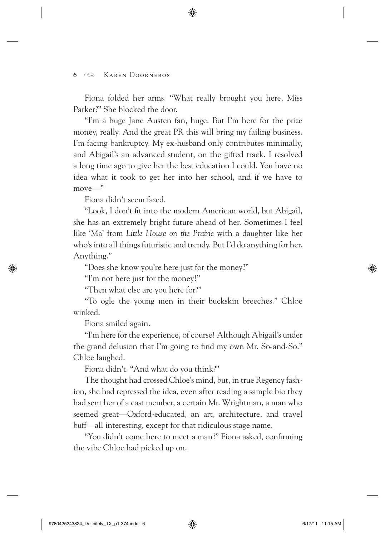# *<sup>6</sup>* Karen Doornebos

Fiona folded her arms. "What really brought you here, Miss Parker?" She blocked the door.

⊕

"I'm a huge Jane Austen fan, huge. But I'm here for the prize money, really. And the great PR this will bring my failing business. I'm facing bankruptcy. My ex-husband only contributes minimally, and Abigail's an advanced student, on the gifted track. I resolved a long time ago to give her the best education I could. You have no idea what it took to get her into her school, and if we have to move—"

Fiona didn't seem fazed.

"Look, I don't fit into the modern American world, but Abigail, she has an extremely bright future ahead of her. Sometimes I feel like 'Ma' from *Little House on the Prairie* with a daughter like her who's into all things futuristic and trendy. But I'd do anything for her. Anything."

"Does she know you're here just for the money?"

"I'm not here just for the money!"

"Then what else are you here for?"

"To ogle the young men in their buckskin breeches." Chloe winked.

Fiona smiled again.

⇔

"I'm here for the experience, of course! Although Abigail's under the grand delusion that I'm going to find my own Mr. So-and-So." Chloe laughed.

Fiona didn't. "And what do you think?"

The thought had crossed Chloe's mind, but, in true Regency fashion, she had repressed the idea, even after reading a sample bio they had sent her of a cast member, a certain Mr. Wrightman, a man who seemed great—Oxford-educated, an art, architecture, and travel buff—all interesting, except for that ridiculous stage name.

"You didn't come here to meet a man?" Fiona asked, confirming the vibe Chloe had picked up on.

⊕